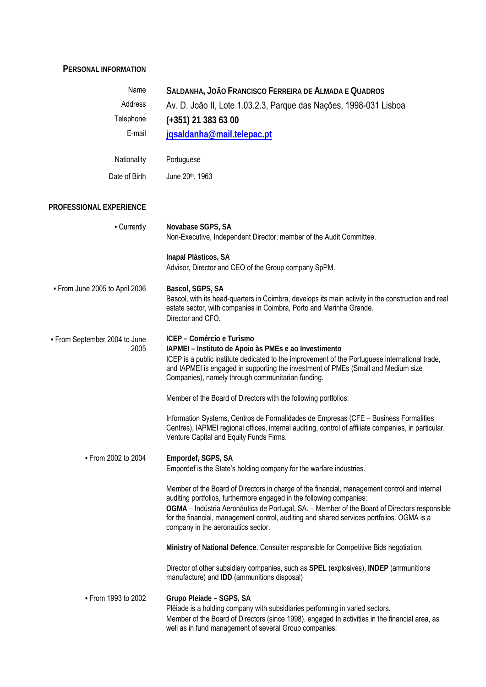## **PERSONAL INFORMATION**

| Name                                  | SALDANHA, JOÃO FRANCISCO FERREIRA DE ALMADA E QUADROS                                                                                                                                                                                                                                                                                                                                                   |
|---------------------------------------|---------------------------------------------------------------------------------------------------------------------------------------------------------------------------------------------------------------------------------------------------------------------------------------------------------------------------------------------------------------------------------------------------------|
| Address                               | Av. D. João II, Lote 1.03.2.3, Parque das Nações, 1998-031 Lisboa                                                                                                                                                                                                                                                                                                                                       |
| Telephone                             | $(+351)$ 21 383 63 00                                                                                                                                                                                                                                                                                                                                                                                   |
| E-mail                                | jqsaldanha@mail.telepac.pt                                                                                                                                                                                                                                                                                                                                                                              |
| Nationality                           | Portuguese                                                                                                                                                                                                                                                                                                                                                                                              |
| Date of Birth                         | June 20th, 1963                                                                                                                                                                                                                                                                                                                                                                                         |
| PROFESSIONAL EXPERIENCE               |                                                                                                                                                                                                                                                                                                                                                                                                         |
| • Currently                           | Novabase SGPS, SA<br>Non-Executive, Independent Director; member of the Audit Committee.                                                                                                                                                                                                                                                                                                                |
|                                       | Inapal Plásticos, SA<br>Advisor, Director and CEO of the Group company SpPM.                                                                                                                                                                                                                                                                                                                            |
| • From June 2005 to April 2006        | Bascol, SGPS, SA<br>Bascol, with its head-quarters in Coimbra, develops its main activity in the construction and real<br>estate sector, with companies in Coimbra, Porto and Marinha Grande.<br>Director and CFO.                                                                                                                                                                                      |
| • From September 2004 to June<br>2005 | ICEP - Comércio e Turismo<br>IAPMEI - Instituto de Apoio às PMEs e ao Investimento<br>ICEP is a public institute dedicated to the improvement of the Portuguese international trade,<br>and IAPMEI is engaged in supporting the investment of PMEs (Small and Medium size<br>Companies), namely through communitarian funding.                                                                          |
|                                       | Member of the Board of Directors with the following portfolios:                                                                                                                                                                                                                                                                                                                                         |
|                                       | Information Systems, Centros de Formalidades de Empresas (CFE - Business Formalities<br>Centres), IAPMEI regional offices, internal auditing, control of affiliate companies, in particular,<br>Venture Capital and Equity Funds Firms.                                                                                                                                                                 |
| • From 2002 to 2004                   | Empordef, SGPS, SA<br>Empordef is the State's holding company for the warfare industries.                                                                                                                                                                                                                                                                                                               |
|                                       | Member of the Board of Directors in charge of the financial, management control and internal<br>auditing portfolios, furthermore engaged in the following companies:<br>OGMA - Indústria Aeronáutica de Portugal, SA. - Member of the Board of Directors responsible<br>for the financial, management control, auditing and shared services portfolios. OGMA is a<br>company in the aeronautics sector. |
|                                       | Ministry of National Defence. Consulter responsible for Competitive Bids negotiation.                                                                                                                                                                                                                                                                                                                   |
|                                       | Director of other subsidiary companies, such as SPEL (explosives), INDEP (ammunitions<br>manufacture) and IDD (ammunitions disposal)                                                                                                                                                                                                                                                                    |
| • From 1993 to 2002                   | Grupo Pleiade - SGPS, SA<br>Plêiade is a holding company with subsidiaries performing in varied sectors.<br>Member of the Board of Directors (since 1998), engaged In activities in the financial area, as<br>well as in fund management of several Group companies:                                                                                                                                    |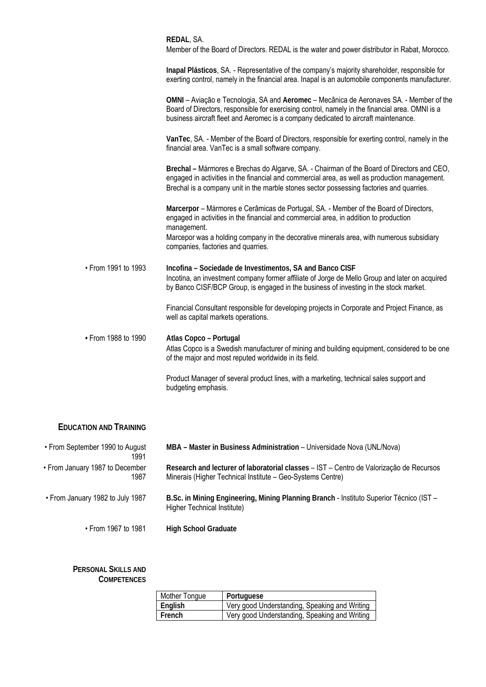|                     | REDAL, SA.<br>Member of the Board of Directors. REDAL is the water and power distributor in Rabat, Morocco.                                                                                                                                                                             |
|---------------------|-----------------------------------------------------------------------------------------------------------------------------------------------------------------------------------------------------------------------------------------------------------------------------------------|
|                     | Inapal Plásticos, SA. - Representative of the company's majority shareholder, responsible for<br>exerting control, namely in the financial area. Inapal is an automobile components manufacturer.                                                                                       |
|                     | OMNI - Aviação e Tecnologia, SA and Aeromec - Mecânica de Aeronaves SA. - Member of the<br>Board of Directors, responsible for exercising control, namely in the financial area. OMNI is a<br>business aircraft fleet and Aeromec is a company dedicated to aircraft maintenance.       |
|                     | VanTec, SA. - Member of the Board of Directors, responsible for exerting control, namely in the<br>financial area. VanTec is a small software company.                                                                                                                                  |
|                     | Brechal - Mármores e Brechas do Algarve, SA. - Chairman of the Board of Directors and CEO,<br>engaged in activities in the financial and commercial area, as well as production management.<br>Brechal is a company unit in the marble stones sector possessing factories and quarries. |
|                     | Marcerpor - Mármores e Cerâmicas de Portugal, SA. - Member of the Board of Directors,<br>engaged in activities in the financial and commercial area, in addition to production<br>management.                                                                                           |
|                     | Marcepor was a holding company in the decorative minerals area, with numerous subsidiary<br>companies, factories and quarries.                                                                                                                                                          |
| • From 1991 to 1993 | Incofina - Sociedade de Investimentos, SA and Banco CISF<br>Incotina, an investment company former affiliate of Jorge de Mello Group and later on acquired<br>by Banco CISF/BCP Group, is engaged in the business of investing in the stock market.                                     |
|                     | Financial Consultant responsible for developing projects in Corporate and Project Finance, as<br>well as capital markets operations.                                                                                                                                                    |
| • From 1988 to 1990 | Atlas Copco - Portugal<br>Atlas Copco is a Swedish manufacturer of mining and building equipment, considered to be one<br>of the major and most reputed worldwide in its field.                                                                                                         |
|                     | Product Manager of several product lines, with a marketing, technical sales support and<br>budgeting emphasis.                                                                                                                                                                          |

## **EDUCATION AND TRAINING**

| • From September 1990 to August<br>1991 | MBA - Master in Business Administration - Universidade Nova (UNL/Nova)                                                                                |
|-----------------------------------------|-------------------------------------------------------------------------------------------------------------------------------------------------------|
| • From January 1987 to December<br>1987 | Research and lecturer of laboratorial classes - IST - Centro de Valorização de Recursos<br>Minerais (Higher Technical Institute - Geo-Systems Centre) |
| • From January 1982 to July 1987        | B.Sc. in Mining Engineering, Mining Planning Branch - Instituto Superior Técnico (IST -<br>Higher Technical Institute)                                |
| • From 1967 to 1981                     | <b>High School Graduate</b>                                                                                                                           |

## **PERSONAL SKILLS AND COMPETENCES**

| Mother Tongue | Portuguese                                    |
|---------------|-----------------------------------------------|
| English       | Very good Understanding, Speaking and Writing |
| French        | Very good Understanding, Speaking and Writing |